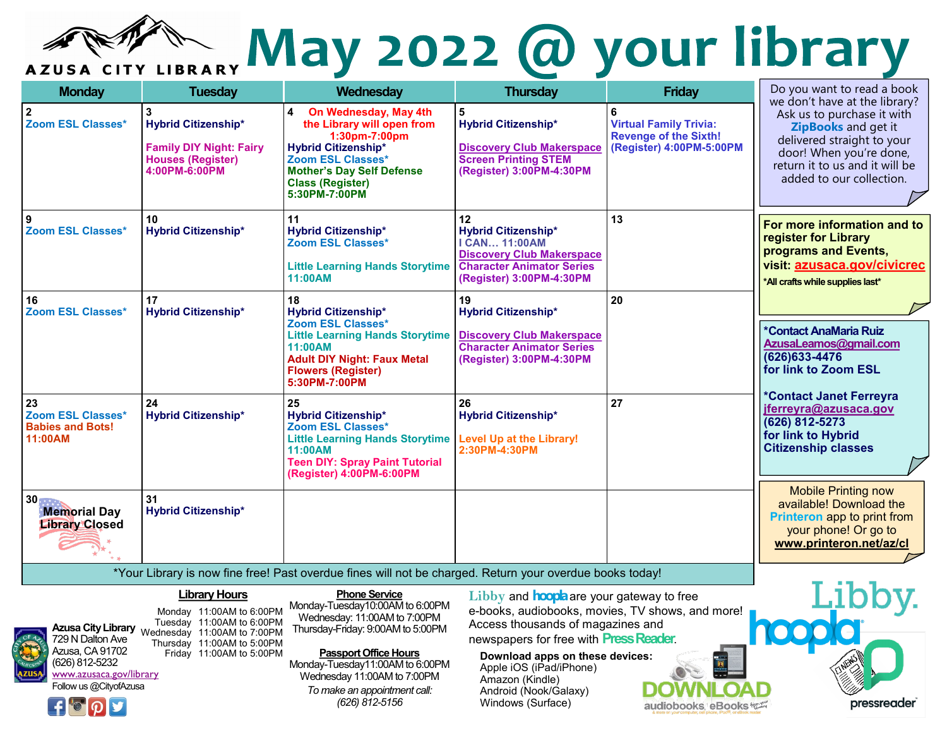

# AZUSA CITY LIBRARY May 2022 @ your library

| <b>Monday</b>                                                        | <b>Tuesday</b>                                                                                            | Wednesday                                                                                                                                                                                                    | <b>Thursday</b>                                                                                                                                              | <b>Friday</b>                                                                                  | Do you want to read a book                                                                                                                                                                                |
|----------------------------------------------------------------------|-----------------------------------------------------------------------------------------------------------|--------------------------------------------------------------------------------------------------------------------------------------------------------------------------------------------------------------|--------------------------------------------------------------------------------------------------------------------------------------------------------------|------------------------------------------------------------------------------------------------|-----------------------------------------------------------------------------------------------------------------------------------------------------------------------------------------------------------|
| $\overline{\mathbf{2}}$<br><b>Zoom ESL Classes*</b>                  | <b>Hybrid Citizenship*</b><br><b>Family DIY Night: Fairy</b><br><b>Houses (Register)</b><br>4:00PM-6:00PM | On Wednesday, May 4th<br>4<br>the Library will open from<br>1:30pm-7:00pm<br><b>Hybrid Citizenship*</b><br>Zoom ESL Classes*<br><b>Mother's Day Self Defense</b><br><b>Class (Register)</b><br>5:30PM-7:00PM | 5<br><b>Hybrid Citizenship*</b><br><b>Discovery Club Makerspace</b><br><b>Screen Printing STEM</b><br>(Register) 3:00PM-4:30PM                               | 6<br><b>Virtual Family Trivia:</b><br><b>Revenge of the Sixth!</b><br>(Register) 4:00PM-5:00PM | we don't have at the library?<br>Ask us to purchase it with<br>ZipBooks and get it<br>delivered straight to your<br>door! When you're done,<br>return it to us and it will be<br>added to our collection. |
| 9<br><b>Zoom ESL Classes*</b>                                        | 10<br><b>Hybrid Citizenship*</b>                                                                          | 11<br><b>Hybrid Citizenship*</b><br>Zoom ESL Classes*<br><b>Little Learning Hands Storytime</b><br>11:00AM                                                                                                   | 12<br><b>Hybrid Citizenship*</b><br><b>I CAN 11:00AM</b><br><b>Discovery Club Makerspace</b><br><b>Character Animator Series</b><br>(Register) 3:00PM-4:30PM | 13                                                                                             | For more information and to<br>register for Library<br>programs and Events,<br>visit: azusaca.gov/civicrec<br>*All crafts while supplies last*                                                            |
| 16<br>Zoom ESL Classes*                                              | 17<br><b>Hybrid Citizenship*</b>                                                                          | 18<br><b>Hybrid Citizenship*</b><br>Zoom ESL Classes*<br><b>Little Learning Hands Storytime</b><br>11:00AM<br><b>Adult DIY Night: Faux Metal</b><br><b>Flowers (Register)</b><br>5:30PM-7:00PM               | 19<br><b>Hybrid Citizenship*</b><br><b>Discovery Club Makerspace</b><br><b>Character Animator Series</b><br>(Register) 3:00PM-4:30PM                         | 20                                                                                             | *Contact AnaMaria Ruiz<br>AzusaLeamos@gmail.com<br>(626) 633-4476<br>for link to Zoom ESL                                                                                                                 |
| 23<br><b>Zoom ESL Classes*</b><br><b>Babies and Bots!</b><br>11:00AM | 24<br><b>Hybrid Citizenship*</b>                                                                          | 25<br><b>Hybrid Citizenship*</b><br>Zoom ESL Classes*<br>Little Learning Hands Storytime   Level Up at the Library!<br>11:00AM<br><b>Teen DIY: Spray Paint Tutorial</b><br>(Register) 4:00PM-6:00PM          | 26<br><b>Hybrid Citizenship*</b><br>2:30PM-4:30PM                                                                                                            | 27                                                                                             | *Contact Janet Ferreyra<br>jferreyra@azusaca.gov<br>(626) 812-5273<br>for link to Hybrid<br><b>Citizenship classes</b>                                                                                    |
| $30**$<br><b>Memorial Day</b><br><b>Library Closed</b>               | 31<br><b>Hybrid Citizenship*</b>                                                                          | *Your Library is now fine free! Past overdue fines will not be charged. Return your overdue books today!                                                                                                     |                                                                                                                                                              |                                                                                                | <b>Mobile Printing now</b><br>available! Download the<br>Printeron app to print from<br>your phone! Or go to<br>www.printeron.net/az/cl                                                                   |
|                                                                      |                                                                                                           |                                                                                                                                                                                                              |                                                                                                                                                              |                                                                                                |                                                                                                                                                                                                           |
|                                                                      | <b>Library Hours</b>                                                                                      | <b>Phone Service</b><br>Monday-Tuesday10:00AM to 6:00PM                                                                                                                                                      | Libby and <b>hoopla</b> are your gateway to free<br>extra condictor directions TV decide and                                                                 |                                                                                                | Libb <sup>®</sup>                                                                                                                                                                                         |

### **Library Hours Phone Service**



Monday 11:00AM to 6:00PM Tuesday 11:00AM to 6:00PM Wednesday 11:00AM to 7:00PM Thursday 11:00AM to 5:00PM Friday 11:00AM to 5:00PM

Monday-Tuesday10:00AM to 6:00PM Wednesday: 11:00AM to 7:00PM Thursday-Friday: 9:00AM to 5:00PM

**Passport Office Hours** Monday-Tuesday11:00AM to 6:00PM Wednesday 11:00AM to 7:00PM *To make an appointment call: (626) 812-5156*

**Libby** and **hoopla**are your gateway to free e-books, audiobooks, movies, TV shows, and more! Access thousands of magazines and newspapers for free with **Press Reader**.

**Download apps on these devices:** Apple iOS (iPad/iPhone) Amazon (Kindle) Android (Nook/Galaxy) Windows (Surface)